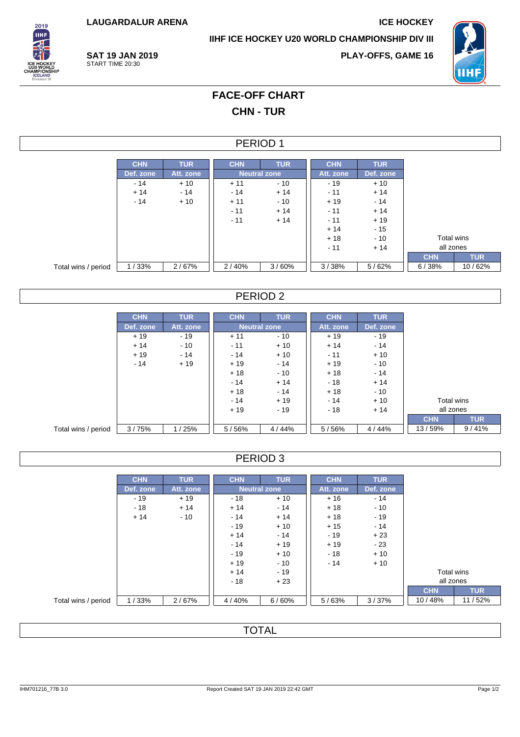**LAUGARDALUR ARENA ICE HOCKEY** 

**IIHF ICE HOCKEY U20 WORLD CHAMPIONSHIP DIV III**



**SAT 19 JAN 2019** START TIME 20:30

**PLAY-OFFS, GAME 16**



# **FACE-OFF CHART CHN - TUR**

#### PERIOD 1

|                     | <b>CHN</b> | <b>TUR</b> | <b>CHN</b>          | <b>TUR</b> | <b>CHN</b> | <b>TUR</b> |            |            |
|---------------------|------------|------------|---------------------|------------|------------|------------|------------|------------|
|                     | Def. zone  | Att. zone  | <b>Neutral zone</b> |            | Att. zone  | Def. zone  |            |            |
|                     | $-14$      | $+10$      | $+11$               | $-10$      | $-19$      | $+10$      |            |            |
|                     | $+14$      | $-14$      | $-14$               | $+14$      | $-11$      | $+14$      |            |            |
|                     | $-14$      | $+10$      | $+11$               | $-10$      | $+19$      | $-14$      |            |            |
|                     |            |            | $-11$               | $+14$      | $-11$      | $+14$      |            |            |
|                     |            |            | $-11$               | $+14$      | $-11$      | $+19$      |            |            |
|                     |            |            |                     |            | $+14$      | $-15$      |            |            |
|                     |            |            |                     |            | $+18$      | $-10$      |            | Total wins |
|                     |            |            |                     |            | $-11$      | $+14$      | all zones  |            |
|                     |            |            |                     |            |            |            | <b>CHN</b> | <b>TUR</b> |
| Total wins / period | 1/33%      | 2/67%      | 2/40%               | 3/60%      | 3/38%      | 5/62%      | 6/38%      | 10/62%     |

### PERIOD 2

|                     | <b>CHN</b> | <b>TUR</b> | <b>CHN</b>          | <b>TUR</b> | <b>CHN</b> | <b>TUR</b> |            |       |
|---------------------|------------|------------|---------------------|------------|------------|------------|------------|-------|
|                     | Def. zone  | Att. zone  | <b>Neutral zone</b> |            | Att. zone  | Def. zone  |            |       |
|                     | $+19$      | $-19$      | $+11$               | $-10$      | $+19$      | - 19       |            |       |
|                     | $+14$      | $-10$      | $-11$               | $+10$      | $+14$      | $-14$      |            |       |
|                     | $+19$      | $-14$      | $-14$               | $+10$      | $-11$      | $+10$      |            |       |
|                     | $-14$      | $+19$      | $+19$               | $-14$      | $+19$      | $-10$      |            |       |
|                     |            |            | $+18$               | $-10$      | $+18$      | $-14$      |            |       |
|                     |            |            | $-14$               | $+14$      | $-18$      | $+14$      |            |       |
|                     |            |            | $+18$               | $-14$      | $+18$      | $-10$      |            |       |
|                     |            |            | $-14$               | $+19$      | $-14$      | $+10$      | Total wins |       |
|                     |            |            | $+19$               | $-19$      | $-18$      | $+14$      | all zones  |       |
|                     |            |            |                     |            |            |            | <b>CHN</b> |       |
| Total wins / period | 3/75%      | 1/25%      | 5/56%               | 4/44%      | 5/56%      | 4/44%      | 13/59%     | 9/41% |

#### PERIOD 3

|                     | <b>CHN</b> | <b>TUR</b> | <b>CHN</b> | <b>TUR</b>          | <b>CHN</b> | <b>TUR</b> |            |
|---------------------|------------|------------|------------|---------------------|------------|------------|------------|
|                     | Def. zone  | Att. zone  |            | <b>Neutral zone</b> | Att. zone  | Def. zone  |            |
|                     | $-19$      | $+19$      | $-18$      | $+10$               | $+16$      | - 14       |            |
|                     | $-18$      | $+14$      | $+14$      | $-14$               | $+18$      | $-10$      |            |
|                     | $+14$      | $-10$      | $-14$      | $+14$               | $+18$      | - 19       |            |
|                     |            |            | $-19$      | $+10$               | $+15$      | - 14       |            |
|                     |            |            | $+14$      | $-14$               | $-19$      | $+23$      |            |
|                     |            |            | $-14$      | $+19$               | $+19$      | $-23$      |            |
|                     |            |            | $-19$      | $+10$               | $-18$      | $+10$      |            |
|                     |            |            | $+19$      | $-10$               | $-14$      | $+10$      |            |
|                     |            |            | $+14$      | $-19$               |            |            | Total wins |
|                     |            |            | $-18$      | $+23$               |            |            | all zones  |
|                     |            |            |            |                     |            |            | <b>CHN</b> |
| Total wins / period | 1/33%      | 2/67%      | 4/40%      | 6/60%               | 5/63%      | 3/37%      | 10/48%     |

#### **TOTAL**